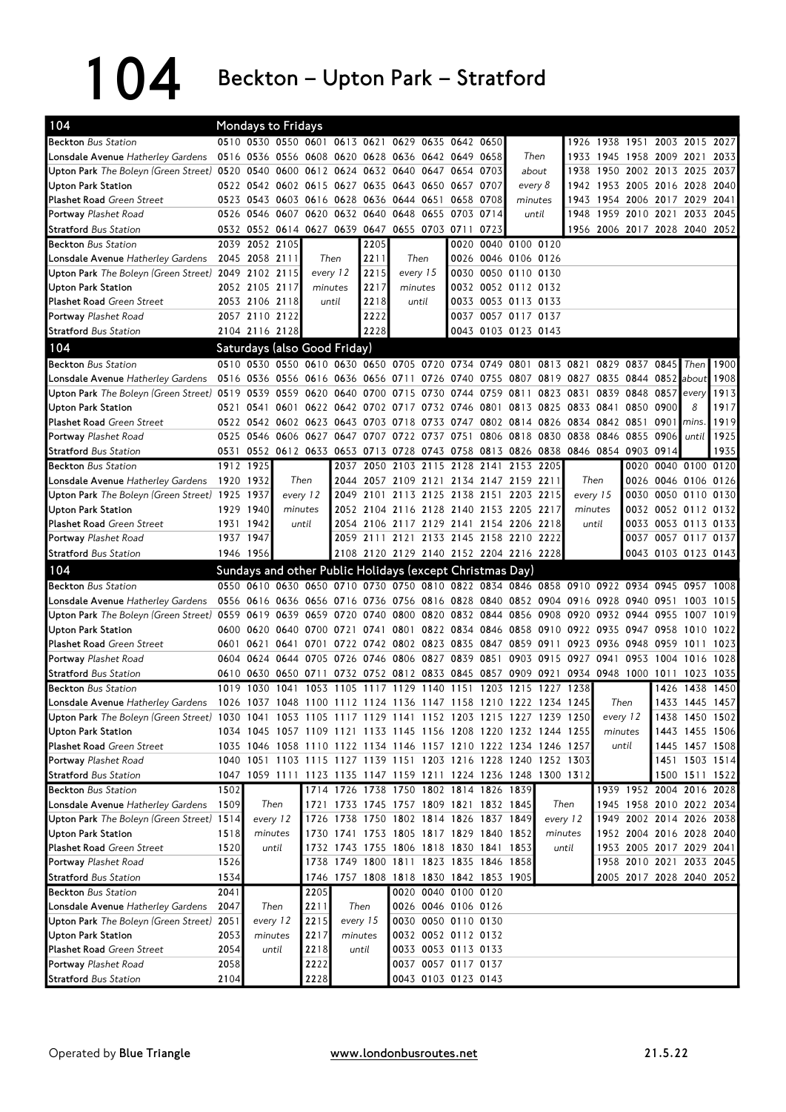104 Beckton – Upton Park – Stratford

| 104                                                                                                                            |              | <b>Mondays to Fridays</b>     |          |              |          |       |                                                          |          |                                            |                                                                                           |           |                               |                          |                     |                |                     |
|--------------------------------------------------------------------------------------------------------------------------------|--------------|-------------------------------|----------|--------------|----------|-------|----------------------------------------------------------|----------|--------------------------------------------|-------------------------------------------------------------------------------------------|-----------|-------------------------------|--------------------------|---------------------|----------------|---------------------|
| <b>Beckton Bus Station</b>                                                                                                     |              |                               |          |              |          |       | 0510 0530 0550 0601 0613 0621 0629 0635 0642 0650        |          |                                            |                                                                                           |           | 1926 1938 1951 2003 2015 2027 |                          |                     |                |                     |
| <b>Lonsdale Avenue</b> Hatherley Gardens                                                                                       |              |                               |          |              |          |       | 0516 0536 0556 0608 0620 0628 0636 0642 0649 0658        |          |                                            | Then                                                                                      |           | 1933 1945 1958 2009 2021 2033 |                          |                     |                |                     |
| Upton Park The Boleyn (Green Street) 0520 0540 0600 0612 0624 0632 0640 0647 0654 0703                                         |              |                               |          |              |          |       |                                                          |          |                                            | about                                                                                     | 1938      | 1950 2002 2013 2025           |                          |                     |                | 2037                |
| <b>Upton Park Station</b>                                                                                                      |              |                               |          |              |          |       | 0522 0542 0602 0615 0627 0635 0643 0650 0657 0707        |          |                                            | every 8                                                                                   | 1942      | 1953                          | 2005 2016 2028           |                     |                | 2040                |
| <b>Plashet Road Green Street</b>                                                                                               |              |                               |          |              |          |       | 0523 0543 0603 0616 0628 0636 0644 0651 0658 0708        |          |                                            | minutes                                                                                   | 1943      | 1954 2006 2017 2029           |                          |                     |                | 2041                |
| Portway Plashet Road                                                                                                           |              |                               |          |              |          |       | 0526 0546 0607 0620 0632 0640 0648 0655 0703 0714        |          |                                            | until                                                                                     | 1948      | 1959 2010 2021 2033 2045      |                          |                     |                |                     |
| <b>Stratford Bus Station</b>                                                                                                   |              |                               |          |              |          |       | 0532 0552 0614 0627 0639 0647 0655 0703 0711 0723        |          |                                            |                                                                                           |           | 1956 2006 2017 2028 2040 2052 |                          |                     |                |                     |
| <b>Beckton</b> Bus Station                                                                                                     |              | 2039 2052 2105                |          |              |          | 2205  |                                                          |          | 0020                                       | 0040 0100 0120                                                                            |           |                               |                          |                     |                |                     |
| Lonsdale Avenue Hatherley Gardens                                                                                              |              | 2045 2058 2111                |          |              | Then     | 2211  |                                                          | Then     |                                            | 0026 0046 0106 0126                                                                       |           |                               |                          |                     |                |                     |
| Upton Park The Boleyn (Green Street) 2049 2102 2115                                                                            |              |                               |          | every 12     |          | 2215  |                                                          | every 15 |                                            | 0030 0050 0110 0130                                                                       |           |                               |                          |                     |                |                     |
| Upton Park Station                                                                                                             |              | 2052 2105 2117                |          | minutes      |          | 2217  | minutes                                                  |          |                                            | 0032 0052 0112 0132                                                                       |           |                               |                          |                     |                |                     |
| <b>Plashet Road Green Street</b>                                                                                               |              | 2053 2106 2118                |          |              | until    | 2218  | until                                                    |          |                                            | 0033 0053 0113 0133                                                                       |           |                               |                          |                     |                |                     |
| Portway Plashet Road                                                                                                           |              | 2057 2110 2122                |          |              |          | 2222  |                                                          |          |                                            | 0037 0057 0117 0137                                                                       |           |                               |                          |                     |                |                     |
| <b>Stratford</b> Bus Station                                                                                                   |              | 2104 2116 2128                |          |              |          | 2228  |                                                          |          |                                            | 0043 0103 0123 0143                                                                       |           |                               |                          |                     |                |                     |
| 104                                                                                                                            |              | Saturdays (also Good Friday)  |          |              |          |       |                                                          |          |                                            |                                                                                           |           |                               |                          |                     |                |                     |
| <b>Beckton</b> Bus Station                                                                                                     |              |                               |          |              |          |       |                                                          |          |                                            | 0510 0530 0550 0610 0630 0650 0705 0720 0734 0749 0801 0813 0821 0829 0837 0845           |           |                               |                          |                     | Then           | 1900                |
| Lonsdale Avenue Hatherley Gardens                                                                                              |              |                               |          |              |          |       |                                                          |          |                                            | 0516 0536 0556 0616 0636 0656 0711 0726 0740 0755 0807 0819 0827 0835 0844 0852           |           |                               |                          |                     | about          | 1908                |
| Upton Park The Bolevn (Green Street) 0519 0539 0559 0620 0640 0700 0715 0730 0744 0759 0811                                    |              |                               |          |              |          |       |                                                          |          |                                            |                                                                                           | 0823 0831 |                               | 0839 0848 0857           |                     | every          | 1913                |
| <b>Upton Park Station</b>                                                                                                      |              | 0521 0541                     |          |              |          |       |                                                          |          |                                            | 0601 0622 0642 0702 0717 0732 0746 0801 0813 0825 0833 0841                               |           |                               | 0850 0900                |                     | 8              | 1917                |
| <b>Plashet Road Green Street</b>                                                                                               |              |                               |          |              |          |       |                                                          |          |                                            | 0522 0542 0602 0623 0643 0703 0718 0733 0747 0802 0814 0826 0834 0842 0851 0901 mins      |           |                               |                          |                     |                | 1919                |
| <b>Portway</b> Plashet Road                                                                                                    |              |                               |          |              |          |       | 0525 0546 0606 0627 0647 0707 0722 0737 0751             |          |                                            | 0806 0818 0830 0838 0846                                                                  |           |                               | 0855 0906                |                     | until          | 1925                |
| <b>Stratford Bus Station</b>                                                                                                   |              |                               |          |              |          |       |                                                          |          |                                            | 0531 0552 0612 0633 0653 0713 0728 0743 0758 0813 0826 0838 0846 0854 0903 0914           |           |                               |                          |                     |                | 1935                |
| <b>Beckton</b> Bus Station                                                                                                     |              | 1912 1925                     |          |              |          |       |                                                          |          |                                            | 2037 2050 2103 2115 2128 2141 2153 2205                                                   |           |                               |                          | 0020 0040 0100 0120 |                |                     |
| <b>Lonsdale Avenue</b> Hatherley Gardens                                                                                       |              | 1920 1932                     |          | Then         |          |       |                                                          |          |                                            | 2044 2057 2109 2121 2134 2147 2159 2211                                                   |           | Then                          |                          | 0026 0046 0106 0126 |                |                     |
| Upton Park The Boleyn (Green Street) 1925 1937                                                                                 |              |                               |          | every 12     | 2049     |       |                                                          |          |                                            | 2101 2113 2125 2138 2151 2203 2215                                                        |           | every 15                      |                          | 0030 0050 0110 0130 |                |                     |
| <b>Upton Park Station</b>                                                                                                      |              | 1929 1940                     |          | minutes      |          |       |                                                          |          |                                            | 2052 2104 2116 2128 2140 2153 2205 2217                                                   | minutes   |                               |                          | 0032 0052 0112 0132 |                |                     |
| Plashet Road Green Street                                                                                                      |              | 1931 1942                     |          | until        |          |       |                                                          |          |                                            | 2054 2106 2117 2129 2141 2154 2206 2218                                                   | until     |                               |                          | 0033 0053 0113 0133 |                |                     |
| Portway Plashet Road                                                                                                           |              | 1937 1947                     |          |              |          |       |                                                          |          |                                            | 2059 2111 2121 2133 2145 2158 2210 2222                                                   |           |                               |                          | 0037 0057 0117 0137 |                |                     |
|                                                                                                                                |              |                               |          |              |          |       |                                                          |          |                                            | 2108 2120 2129 2140 2152 2204 2216 2228                                                   |           |                               |                          |                     |                | 0043 0103 0123 0143 |
|                                                                                                                                |              |                               |          |              |          |       |                                                          |          |                                            |                                                                                           |           |                               |                          |                     |                |                     |
| <b>Stratford Bus Station</b>                                                                                                   |              | 1946 1956                     |          |              |          |       |                                                          |          |                                            |                                                                                           |           |                               |                          |                     |                |                     |
| 104                                                                                                                            |              |                               |          |              |          |       | Sundays and other Public Holidays (except Christmas Day) |          |                                            |                                                                                           |           |                               |                          |                     |                |                     |
| <b>Beckton</b> Bus Station                                                                                                     |              |                               |          |              |          |       |                                                          |          |                                            | 0550 0610 0630 0650 0710 0730 0750 0810 0822 0834 0846 0858 0910 0922 0934 0945 0957 1008 |           |                               |                          |                     |                |                     |
| <b>Lonsdale Avenue</b> Hatherley Gardens                                                                                       |              |                               |          |              |          |       |                                                          |          |                                            | 0556 0616 0636 0656 0716 0736 0756 0816 0828 0840 0852 0904 0916 0928 0940 0951 1003      |           |                               |                          |                     |                | 1015                |
| Upton Park The Boleyn (Green Street) 0559 0619 0639 0659 0720 0740 0800 0820 0832 0844 0856 0908 0920 0932 0944 0955 1007 1019 |              |                               |          |              |          |       |                                                          |          |                                            |                                                                                           |           |                               |                          |                     |                |                     |
| <b>Upton Park Station</b>                                                                                                      |              | 0600 0620 0640 0700 0721 0741 |          |              |          |       |                                                          |          |                                            | 0801 0822 0834 0846 0858 0910 0922 0935                                                   |           |                               | 0947 0958 1010           |                     |                | 1022                |
| <b>Plashet Road Green Street</b>                                                                                               |              |                               |          |              |          |       |                                                          |          |                                            | 0601 0621 0641 0701 0722 0742 0802 0823 0835 0847 0859 0911 0923 0936 0948 0959 1011 1023 |           |                               |                          |                     |                |                     |
| Portway Plashet Road                                                                                                           |              |                               |          |              |          |       | 0604 0624 0644 0705 0726 0746 0806 0827 0839 0851        |          |                                            | 0903 0915 0927 0941 0953 1004 1016                                                        |           |                               |                          |                     |                | 1028                |
| <b>Stratford Bus Station</b>                                                                                                   |              |                               |          |              |          |       |                                                          |          |                                            | 0610 0630 0650 0711 0732 0752 0812 0833 0845 0857 0909 0921 0934 0948 1000 1011 1023      |           |                               |                          |                     |                | 1035                |
| <b>Beckton</b> Bus Station                                                                                                     |              |                               |          |              |          |       |                                                          |          |                                            | 1019 1030 1041 1053 1105 1117 1129 1140 1151 1203 1215 1227 1238                          |           |                               |                          |                     | 1426 1438      | 1450                |
| Lonsdale Avenue Hatherley Gardens                                                                                              |              |                               |          |              |          |       |                                                          |          |                                            | 1026 1037 1048 1100 1112 1124 1136 1147 1158 1210 1222 1234 1245                          |           | Then                          |                          |                     | 1433 1445 1457 |                     |
| Upton Park The Boleyn (Green Street) 1030 1041 1053 1105 1117 1129 1141 1152 1203 1215 1227 1239 1250                          |              |                               |          |              |          |       |                                                          |          |                                            |                                                                                           |           | every 12                      |                          |                     | 1438 1450 1502 |                     |
| <b>Upton Park Station</b>                                                                                                      |              |                               |          |              |          |       |                                                          |          |                                            | 1034 1045 1057 1109 1121 1133 1145 1156 1208 1220 1232 1244 1255                          |           | minutes                       |                          |                     | 1443 1455 1506 |                     |
| <b>Plashet Road Green Street</b>                                                                                               |              |                               |          |              |          |       |                                                          |          |                                            | 1035 1046 1058 1110 1122 1134 1146 1157 1210 1222 1234 1246 1257                          |           |                               | until                    |                     | 1445 1457 1508 |                     |
| Portway Plashet Road                                                                                                           |              |                               |          |              |          |       |                                                          |          |                                            | 1040 1051 1103 1115 1127 1139 1151 1203 1216 1228 1240 1252 1303                          |           |                               |                          |                     | 1451 1503 1514 |                     |
| <b>Stratford Bus Station</b>                                                                                                   |              |                               |          |              |          |       |                                                          |          |                                            | 1047 1059 1111 1123 1135 1147 1159 1211 1224 1236 1248 1300 1312                          |           |                               |                          |                     | 1500 1511 1522 |                     |
| <b>Beckton</b> Bus Station                                                                                                     | 1502         |                               |          |              |          |       |                                                          |          |                                            | 1714 1726 1738 1750 1802 1814 1826 1839                                                   |           |                               | 1939 1952 2004 2016 2028 |                     |                |                     |
| Lonsdale Avenue Hatherley Gardens                                                                                              | 1509         |                               | Then     |              |          |       | 1721 1733 1745 1757 1809 1821 1832 1845                  |          |                                            |                                                                                           | Then      |                               | 1945 1958 2010 2022 2034 |                     |                |                     |
| Upton Park The Boleyn (Green Street) 1514                                                                                      |              |                               | every 12 |              |          |       | 1726 1738 1750 1802 1814 1826 1837 1849                  |          |                                            |                                                                                           | every 12  |                               | 1949 2002 2014 2026 2038 |                     |                |                     |
| <b>Upton Park Station</b>                                                                                                      | 1518         |                               | minutes  |              |          |       | 1730 1741 1753 1805 1817 1829 1840 1852                  |          |                                            |                                                                                           | minutes   |                               | 1952 2004 2016 2028 2040 |                     |                |                     |
| <b>Plashet Road Green Street</b>                                                                                               | 1520         |                               | until    |              |          |       | 1732 1743 1755 1806 1818 1830 1841 1853                  |          |                                            |                                                                                           | until     |                               | 1953 2005 2017 2029 2041 |                     |                |                     |
| Portway Plashet Road                                                                                                           | 1526         |                               |          |              |          |       | 1738 1749 1800 1811 1823 1835 1846 1858                  |          |                                            |                                                                                           |           |                               | 1958 2010 2021 2033 2045 |                     |                |                     |
| <b>Stratford Bus Station</b>                                                                                                   | 1534         |                               |          |              |          |       | 1746 1757 1808 1818 1830 1842 1853 1905                  |          |                                            |                                                                                           |           |                               | 2005 2017 2028 2040 2052 |                     |                |                     |
| <b>Beckton</b> Bus Station                                                                                                     | 2041         |                               |          | 2205         |          |       |                                                          |          | 0020 0040 0100 0120                        |                                                                                           |           |                               |                          |                     |                |                     |
| Lonsdale Avenue Hatherley Gardens                                                                                              | 2047         |                               | Then     | 2211         |          | Then  |                                                          |          | 0026 0046 0106 0126                        |                                                                                           |           |                               |                          |                     |                |                     |
| Upton Park The Boleyn (Green Street)                                                                                           | 2051         |                               | every 12 | 2215         | every 15 |       |                                                          |          | 0030 0050 0110 0130                        |                                                                                           |           |                               |                          |                     |                |                     |
| <b>Upton Park Station</b>                                                                                                      | 2053         |                               | minutes  | 2217         | minutes  |       |                                                          |          | 0032 0052 0112 0132                        |                                                                                           |           |                               |                          |                     |                |                     |
| Plashet Road Green Street<br>Portway Plashet Road                                                                              | 2054<br>2058 |                               | until    | 2218<br>2222 |          | until |                                                          |          | 0033 0053 0113 0133<br>0037 0057 0117 0137 |                                                                                           |           |                               |                          |                     |                |                     |